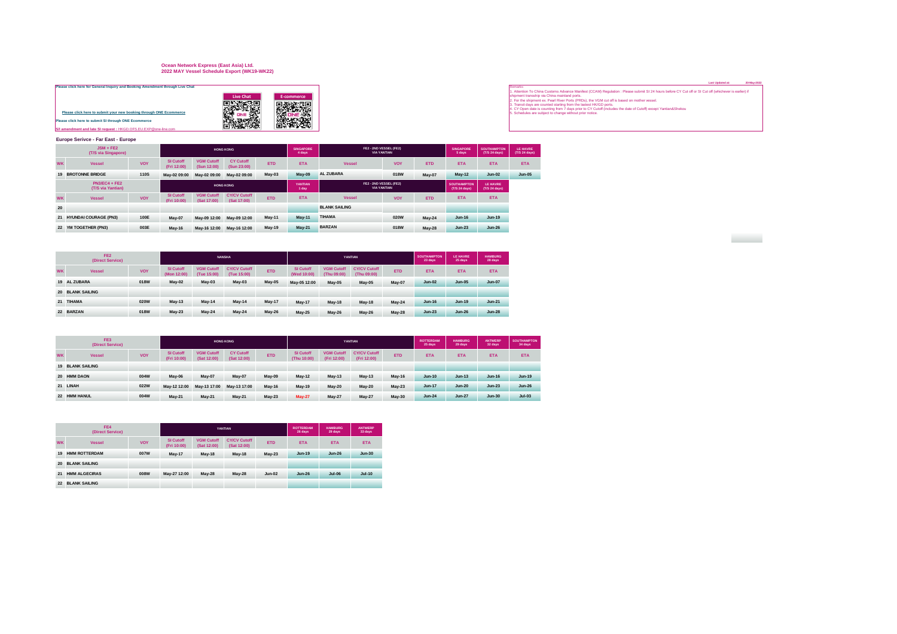## **Ocean Network Express (East Asia) Ltd. 2022 MAY Vessel Schedule Export (WK19-WK22)**

| Please click here for General Inquiry and Booking Amendment through Live Chat |           |
|-------------------------------------------------------------------------------|-----------|
|                                                                               | Live Chat |
|                                                                               |           |
| Please click here to submit your new booking through ONE Ecommerce            |           |
| Please click here to submit SI through ONE Ecommerce                          |           |
| S/I amendment and late SI request: HKGD, OFS, EU, EXP @one-line.com           |           |



## **Europe Serivce - Far East - Europe**

|           | $JSM + FE2$<br>(T/S via Singapore)   |             |                                 |                                  | <b>HONG KONG</b>                   |               | <b>SINGAPORE</b><br>4 days |                      | FE2 - 2ND VESSEL (FE2)<br><b>VIA YANTIAN</b> |               | <b>SINGAPORE</b><br>5 days          | <b>SOUTHAMPTON</b><br>(T/S 24 days) | <b>LE HAVRE</b><br>(T/S 24 days) |
|-----------|--------------------------------------|-------------|---------------------------------|----------------------------------|------------------------------------|---------------|----------------------------|----------------------|----------------------------------------------|---------------|-------------------------------------|-------------------------------------|----------------------------------|
| <b>WK</b> | <b>Vessel</b>                        | <b>VOY</b>  | <b>SI Cutoff</b><br>(Fri 12:00) | <b>VGM Cutoff</b><br>(Sun 12:00) | <b>CY Cutoff</b><br>(Sun 23:00)    | <b>ETD</b>    | <b>ETA</b>                 | <b>Vessel</b>        | <b>VOY</b>                                   | <b>ETD</b>    | <b>ETA</b>                          | <b>ETA</b>                          | <b>ETA</b>                       |
|           | <b>19 BROTONNE BRIDGE</b>            | <b>110S</b> | May-02 09:00                    | May-02 09:00                     | May-02 09:00                       | $May-03$      | <b>May-09</b>              | <b>AL ZUBARA</b>     | 018W                                         | May-07        | <b>May-12</b>                       | $Jun-02$                            | <b>Jun-05</b>                    |
|           | $PN3/EC4 + FE2$<br>(T/S via Yantian) |             |                                 |                                  | <b>HONG KONG</b>                   |               | YANTIAN<br>1 day           |                      | FE2 - 2ND VESSEL (FE2)<br><b>VIA YANTIAN</b> |               | <b>SOUTHAMPTON</b><br>(T/S 24 days) | LE HAVRE<br>(T/S 24 days)           |                                  |
| <b>WK</b> | <b>Vessel</b>                        | <b>VOY</b>  | <b>SI Cutoff</b><br>(Fri 10:00) | <b>VGM Cutoff</b><br>(Sat 17:00) | <b>CY/CV Cutoff</b><br>(Sat 17:00) | <b>ETD</b>    | <b>ETA</b>                 | <b>Vessel</b>        | <b>VOY</b>                                   | <b>ETD</b>    | <b>ETA</b>                          | <b>ETA</b>                          |                                  |
| 20        |                                      |             |                                 |                                  |                                    |               |                            | <b>BLANK SAILING</b> |                                              |               |                                     |                                     |                                  |
|           | 21 HYUNDAI COURAGE (PN3)             | 100E        | May-07                          | May-09 12:00                     | May-09 12:00                       | <b>May-11</b> | <b>May-11</b>              | <b>TIHAMA</b>        | 020W                                         | <b>May-24</b> | $Jun-16$                            | Jun-19                              |                                  |
|           | 22 YM TOGETHER (PN3)                 | 003E        | $May-16$                        | May-16 12:00                     | May-16 12:00                       | <b>May-19</b> | <b>May-21</b>              | <b>BARZAN</b>        | 018W                                         | <b>May-28</b> | $Jun-23$                            | $Jun-26$                            |                                  |
|           |                                      |             |                                 |                                  |                                    |               |                            |                      |                                              |               |                                     |                                     |                                  |

|           | FE <sub>2</sub><br>(Direct Service) |            |                                 |                                  | <b>NANSHA</b>                      |               |                                 |                                  | YANTIAN                            |            | <b>SOUTHAMPTON</b><br>23 days | <b>LE HAVRE</b><br>25 days | <b>HAMBURG</b><br>28 days |
|-----------|-------------------------------------|------------|---------------------------------|----------------------------------|------------------------------------|---------------|---------------------------------|----------------------------------|------------------------------------|------------|-------------------------------|----------------------------|---------------------------|
| <b>WK</b> | <b>Vessel</b>                       | <b>VOY</b> | <b>SI Cutoff</b><br>(Mon 12:00) | <b>VGM Cutoff</b><br>(Tue 15:00) | <b>CY/CV Cutoff</b><br>(Tue 15:00) | <b>ETD</b>    | <b>SI Cutoff</b><br>(Wed 10:00) | <b>VGM Cutoff</b><br>(Thu 09:00) | <b>CY/CV Cutoff</b><br>(Thu 09:00) | <b>ETD</b> | <b>ETA</b>                    | <b>ETA</b>                 | <b>ETA</b>                |
|           | 19 AL ZUBARA                        | 018W       | May-02                          | $May-03$                         | $May-03$                           | <b>May-05</b> | May-05 12:00                    | May-05                           | May-05                             | May-07     | $Jun-02$                      | <b>Jun-05</b>              | <b>Jun-07</b>             |
|           | <b>20 BLANK SAILING</b>             |            |                                 |                                  |                                    |               |                                 |                                  |                                    |            |                               |                            |                           |
|           | 21 TIHAMA                           | 020W       | $May-13$                        | <b>May-14</b>                    | <b>May-14</b>                      | <b>May-17</b> | <b>May-17</b>                   | $May-18$                         | <b>May-18</b>                      | $May-24$   | $Jun-16$                      | <b>Jun-19</b>              | $Jun-21$                  |
|           | 22 BARZAN                           | 018W       | $Mav-23$                        | $May-24$                         | $May-24$                           | <b>May-26</b> | <b>May-25</b>                   | $Mav-26$                         | <b>May-26</b>                      | $May-28$   | $Jun-23$                      | <b>Jun-26</b>              | $Jun-28$                  |

|           | FE3<br>(Direct Service) |            |                                 |                                  | <b>HONG KONG</b>                |               |                                 |                                  | YANTIAN                            |               | <b>ROTTERDAM</b><br>25 days | <b>HAMBURG</b><br>29 days | ANTWERP<br>32 days | <b>SOUTHAMPTON</b><br>34 days |
|-----------|-------------------------|------------|---------------------------------|----------------------------------|---------------------------------|---------------|---------------------------------|----------------------------------|------------------------------------|---------------|-----------------------------|---------------------------|--------------------|-------------------------------|
| <b>WK</b> | <b>Vessel</b>           | <b>VOY</b> | <b>SI Cutoff</b><br>(Fri 10:00) | <b>VGM Cutoff</b><br>(Sat 12:00) | <b>CY Cutoff</b><br>(Sat 12:00) | <b>ETD</b>    | <b>SI Cutoff</b><br>(Thu 10:00) | <b>VGM Cutoff</b><br>(Fri 12:00) | <b>CY/CV Cutoff</b><br>(Fri 12:00) | <b>ETD</b>    | <b>ETA</b>                  | <b>ETA</b>                | <b>ETA</b>         | <b>ETA</b>                    |
|           | <b>19 BLANK SAILING</b> |            |                                 |                                  |                                 |               |                                 |                                  |                                    |               |                             |                           |                    |                               |
|           | 20 HMM DAON             | 004W       | May-06                          | May-07                           | May-07                          | May-09        | <b>May-12</b>                   | $May-13$                         | May-13                             | <b>May-16</b> | <b>Jun-10</b>               | $Jun-13$                  | $Jun-16$           | <b>Jun-19</b>                 |
|           | 21 LINAH                | 022W       | May-12 12:00                    | May-13 17:00                     | May-13 17:00                    | <b>May-16</b> | <b>May-19</b>                   | $May-20$                         | $May-20$                           | $May-23$      | <b>Jun-17</b>               | <b>Jun-20</b>             | $Jun-23$           | <b>Jun-26</b>                 |
|           | 22 HMM HANUL            | 004W       | <b>May-21</b>                   | <b>May-21</b>                    | <b>May-21</b>                   | $May-23$      | <b>May-27</b>                   | <b>May-27</b>                    | May-27                             | <b>May-30</b> | $Jun-24$                    | <b>Jun-27</b>             | $Jun-30$           | $Jul-03$                      |

|           | FF4<br>(Direct Service) |            |                          |                                  | YANTIAN                            |            | <b>ROTTERDAM</b><br>26 days | <b>HAMBURG</b><br>29 days | <b>ANTWERP</b><br>33 days |
|-----------|-------------------------|------------|--------------------------|----------------------------------|------------------------------------|------------|-----------------------------|---------------------------|---------------------------|
| <b>WK</b> | <b>Vessel</b>           | <b>VOY</b> | SI Cutoff<br>(Fri 10:00) | <b>VGM Cutoff</b><br>(Sat 12:00) | <b>CY/CV Cutoff</b><br>(Sat 12:00) | <b>ETD</b> | <b>ETA</b>                  | <b>ETA</b>                | <b>ETA</b>                |
| 19        | <b>HMM ROTTERDAM</b>    | 007W       | <b>May-17</b>            | <b>May-18</b>                    | <b>May-18</b>                      | $May-23$   | <b>Jun-19</b>               | $Jun-26$                  | <b>Jun-30</b>             |
| 20        | <b>BLANK SAILING</b>    |            |                          |                                  |                                    |            |                             |                           |                           |
| 21        | <b>HMM ALGECIRAS</b>    | 008W       | May-27 12:00             | <b>May-28</b>                    | <b>May-28</b>                      | $Jun-02$   | $Jun-26$                    | <b>Jul-06</b>             | <b>Jul-10</b>             |
| 22        | <b>BLANK SAILING</b>    |            |                          |                                  |                                    |            |                             |                           |                           |

**Contract** 

[Pl](https://hk.one-line.com/ecommerce-applications)ease click here for General Inquiry and Booking Amendment through Live Chat<br>
and the Change of the County of the County of the County of the County of the County of the Subject of the Subject of the Subject of the Subje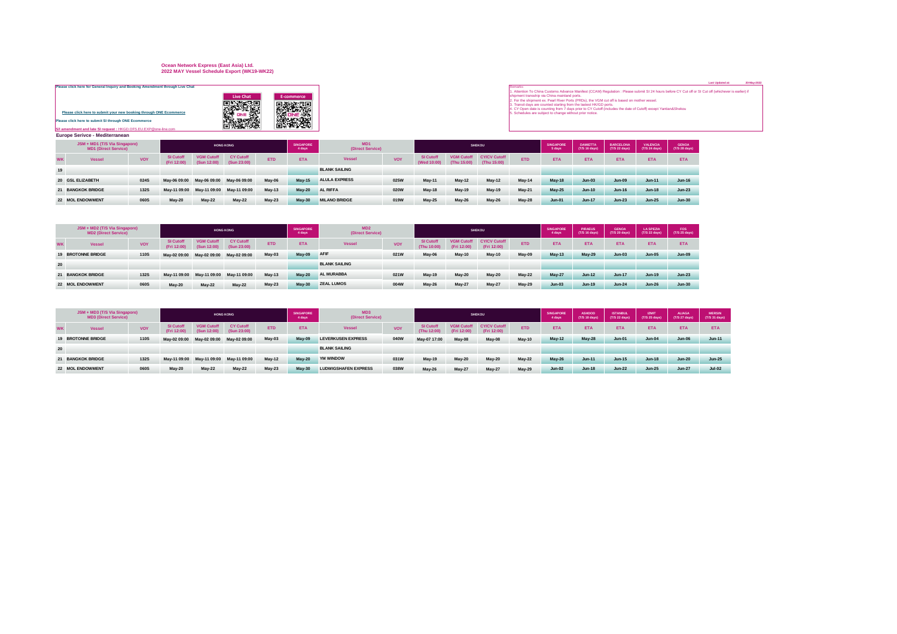## **Ocean Network Express (East Asia) Ltd. 2022 MAY Vessel Schedule Export (WK19-WK22)**

|                                                                                                                                                                                                       |                                                                                                                                                                             |                                      |                 | Last Upgaled at:<br>20-May-202                                                                                                                                                                                                                                                                                                                                                                                                                                                                                                                             |
|-------------------------------------------------------------------------------------------------------------------------------------------------------------------------------------------------------|-----------------------------------------------------------------------------------------------------------------------------------------------------------------------------|--------------------------------------|-----------------|------------------------------------------------------------------------------------------------------------------------------------------------------------------------------------------------------------------------------------------------------------------------------------------------------------------------------------------------------------------------------------------------------------------------------------------------------------------------------------------------------------------------------------------------------------|
| Please click here for General Inquiry and Booking Amendment through Live Chat                                                                                                                         |                                                                                                                                                                             |                                      |                 | Remar                                                                                                                                                                                                                                                                                                                                                                                                                                                                                                                                                      |
| Please click here to submit your new booking through ONE Ecommerce<br><b>Please click here to submit SI through ONE Ecommerce</b><br>S/I amendment and late SI request : HKGD.OFS.EU.EXP@one-line.com | <b>Live Chat</b><br><b>大学 大学 あんしゃ</b><br><b>第一次</b>                                                                                                                         | E-commerce<br><b>大学者 () () () ()</b> |                 | 1. Attention To China Customs Advance Manifest (CCAM) Regulation : Please submit SI 24 hours before CY Cut off or SI Cut off (whichever is earlier) if<br>shipment transship via China mainland ports.<br>2. For the shipment ex. Pearl River Ports (PRDs), the VGM cut off is based on mother vessel.<br>3. Transit days are counted starting from the lastest HK/GD ports.<br>4. CY Open date is counting from 7 days prior to CY Cutoff (includes the date of Cutoff) except Yantian&Shekou<br>5. Schedules are subject to change without prior notice. |
| <b>Europe Serivce - Mediterranean</b>                                                                                                                                                                 |                                                                                                                                                                             |                                      |                 |                                                                                                                                                                                                                                                                                                                                                                                                                                                                                                                                                            |
| <b>JSM + MD1 (T/S Via Singanore)</b>                                                                                                                                                                  | $\mathcal{L}^{\text{max}}_{\text{max}}$ and $\mathcal{L}^{\text{max}}_{\text{max}}$ and $\mathcal{L}^{\text{max}}_{\text{max}}$ and $\mathcal{L}^{\text{max}}_{\text{max}}$ | <b>OBJORODE</b>                      | M <sub>D1</sub> | $\alpha$<br><b>CONTAINS</b>                                                                                                                                                                                                                                                                                                                                                                                                                                                                                                                                |

|           | JSM + MD1 (T/S Via Singapore)<br><b>MD1 (Direct Service)</b> |             |                                 |                                  | <b>HONG KONG</b>                       |            | <b>SINGAPORE</b><br>4 days | MD <sub>1</sub><br>(Direct Service) |            |                                 |                                  | <b>SHEKOU</b>                      |               | <b>SINGAPORE</b><br>5 days | <b>DAMIETTA</b><br>(T/S 16 days) | <b>BARCELONA</b><br>(T/S 22 days) | <b>VALENCIA</b><br>(T/S 24 days) | <b>GENOA</b><br>(T/S 28 days) |
|-----------|--------------------------------------------------------------|-------------|---------------------------------|----------------------------------|----------------------------------------|------------|----------------------------|-------------------------------------|------------|---------------------------------|----------------------------------|------------------------------------|---------------|----------------------------|----------------------------------|-----------------------------------|----------------------------------|-------------------------------|
| <b>WK</b> | Vessel                                                       | <b>VOY</b>  | <b>SI Cutoff</b><br>(Fri 12:00) | <b>VGM Cutoff</b><br>(Sun 12:00) | <b>CY Cutoff</b><br>(Sun 23:00)        | <b>ETD</b> | <b>ETA</b>                 | <b>Vessel</b>                       | <b>VOY</b> | <b>SI Cutoff</b><br>(Wed 10:00) | <b>VGM Cutoff</b><br>(Thu 15:00) | <b>CY/CV Cutoff</b><br>(Thu 15:00) | <b>ETD</b>    | <b>ETA</b>                 | <b>ETA</b>                       | <b>ETA</b>                        | <b>ETA</b>                       | <b>ETA</b>                    |
| 19        |                                                              |             |                                 |                                  |                                        |            |                            | <b>BLANK SAILING</b>                |            |                                 |                                  |                                    |               |                            |                                  |                                   |                                  |                               |
|           | 20 GSL ELIZABETH                                             | 024S        |                                 |                                  | May-06 09:00 May-06 09:00 May-06 09:00 | May-06     | <b>May-15</b>              | <b>ALULA EXPRESS</b>                | 025W       | <b>May-11</b>                   | <b>May-12</b>                    | $May-12$                           | May-14        | <b>May-18</b>              | $Jun-03$                         | <b>Jun-09</b>                     | $Jun-11$                         | $Jun-16$                      |
|           | 21 BANGKOK BRIDGE                                            | <b>132S</b> |                                 | May-11 09:00 May-11 09:00        | May-11 09:00                           | $May-13$   | <b>May-20</b>              | <b>AL RIFFA</b>                     | 020W       | <b>May-18</b>                   | <b>May-19</b>                    | May-19                             | <b>May-21</b> | $May-25$                   | $Jun-10$                         | $Jun-16$                          | $Jun-18$                         | $Jun-23$                      |
|           | 22 MOL ENDOWMENT                                             | <b>060S</b> | $May-20$                        | $May-22$                         | <b>May-22</b>                          | $May-23$   | <b>May-30</b>              | <b>MILANO BRIDGE</b>                | 019W       | $May-25$                        | <b>May-26</b>                    | <b>May-26</b>                      | <b>May-28</b> | $Jun-01$                   | $Jun-17$                         | $Jun-23$                          | $Jun-25$                         | <b>Jun-30</b>                 |

|           | JSM + MD2 (T/S Via Singapore)<br><b>MD2 (Direct Service)</b> |             |                                 |                           | <b>HONG KONG</b>                            |            | <b>SINGAPORE</b><br>4 days | MD2<br>(Direct Service) |            |                                 |                                  | <b>SHEKOU</b>                      |            | <b>SINGAPORE</b><br>4 days | <b>PIRAEUS</b><br>(T/S 16 days) | <b>GENOA</b><br>(T/S 20 days) | <b>LA SPEZIA</b><br>(T/S 22 days) | <b>FOS</b><br>(T/S 25 days) |
|-----------|--------------------------------------------------------------|-------------|---------------------------------|---------------------------|---------------------------------------------|------------|----------------------------|-------------------------|------------|---------------------------------|----------------------------------|------------------------------------|------------|----------------------------|---------------------------------|-------------------------------|-----------------------------------|-----------------------------|
| <b>WK</b> | Vessel                                                       | <b>VOY</b>  | <b>SI Cutoff</b><br>(Fri 12:00) | <b>VGM Cutoff</b>         | <b>CY Cutoff</b><br>(Sun 12:00) (Sun 23:00) | <b>ETD</b> | <b>ETA</b>                 | <b>Vessel</b>           | <b>VOY</b> | <b>SI Cutoff</b><br>(Thu 10:00) | <b>VGM Cutoff</b><br>(Fri 12:00) | <b>CY/CV Cutoff</b><br>(Fri 12:00) | <b>ETD</b> | <b>ETA</b>                 | <b>ETA</b>                      | ETA                           | <b>ETA</b>                        | <b>ETA</b>                  |
|           | <b>19 BROTONNE BRIDGE</b>                                    | <b>110S</b> | May-02 09:00                    | May-02 09:00 May-02 09:00 |                                             | May-03     | May-09                     | AFIF                    | 021W       | May-06                          | <b>May-10</b>                    | <b>May-10</b>                      | May-09     | $May-13$                   | <b>May-29</b>                   | $Jun-03$                      | $Jun-05$                          | $Jun-09$                    |
| 20        |                                                              |             |                                 |                           |                                             |            |                            | <b>BLANK SAILING</b>    |            |                                 |                                  |                                    |            |                            |                                 |                               |                                   |                             |
|           | 21 BANGKOK BRIDGE                                            | <b>132S</b> | May-11 09:00                    | May-11 09:00 May-11 09:00 |                                             | $May-13$   | $May-20$                   | <b>AL MURABBA</b>       | 021W       | <b>May-19</b>                   | $May-20$                         | <b>May-20</b>                      | $May-22$   | <b>May-27</b>              | $Jun-12$                        | <b>Jun-17</b>                 | $Jun-19$                          | $Jun-23$                    |
|           | 22 MOL ENDOWMENT                                             | 060S        | May-20                          | $Mav-22$                  | <b>May-22</b>                               | $May-23$   | <b>May-30</b>              | <b>ZEAL LUMOS</b>       | 004W       | <b>May-26</b>                   | <b>May-27</b>                    | <b>May-27</b>                      | $May-29$   | $Jun-03$                   | $Jun-19$                        | $Jun-24$                      | <b>Jun-26</b>                     | $Jun-30$                    |

| JSM + MD3 (T/S Via Singapore)<br><b>MD3 (Direct Service)</b> |             |                                 |                                        | <b>HONG KONG</b>                |            | <b>SINGAPORE</b><br>4 days | MD <sub>3</sub><br>(Direct Service) |            |                                 |                                  | <b>SHEKOU</b>                      |               | <b>SINGAPORE</b><br>4 days | <b>ASHDOD</b><br>(T/S 18 days) | <b>ISTANBUL</b><br>(T/S 22 days) | <b>IZMIT</b><br>(T/S 25 days) | <b>ALIAGA</b><br>(T/S 27 days) | <b>MERSIN</b><br>(T/S 31 days) |
|--------------------------------------------------------------|-------------|---------------------------------|----------------------------------------|---------------------------------|------------|----------------------------|-------------------------------------|------------|---------------------------------|----------------------------------|------------------------------------|---------------|----------------------------|--------------------------------|----------------------------------|-------------------------------|--------------------------------|--------------------------------|
| Vessel<br><b>WK</b>                                          | <b>VOY</b>  | <b>SI</b> Cutoff<br>(Fri 12:00) | (Sun 12:00)                            | <b>CY Cutoff</b><br>(Sun 23:00) | <b>ETD</b> | <b>ETA</b>                 | <b>Vessel</b>                       | <b>VOY</b> | <b>SI</b> Cutoff<br>(Thu 12:00) | <b>VGM Cutoff</b><br>(Fri 12:00) | <b>CY/CV Cutoff</b><br>(Fri 12:00) | ETD.          | <b>ETA</b>                 | <b>ETA</b>                     | <b>ETA</b>                       | <b>ETA</b>                    | <b>ETA</b>                     | <b>ETA</b>                     |
| <b>19 BROTONNE BRIDGE</b>                                    | <b>110S</b> |                                 | May-02 09:00 May-02 09:00 May-02 09:00 |                                 | $May-03$   | May-09                     | <b>LEVERKUSEN EXPRESS</b>           | 040W       | May-07 17:00                    | May-08                           | May-08                             | <b>May-10</b> | <b>May-12</b>              | $Mav-28$                       | $Jun-01$                         | $Jun-04$                      | <b>Jun-06</b>                  | $Jun-11$                       |
| 20                                                           |             |                                 |                                        |                                 |            |                            | <b>BLANK SAILING</b>                |            |                                 |                                  |                                    |               |                            |                                |                                  |                               |                                |                                |
| <b>21 BANGKOK BRIDGE</b>                                     | <b>132S</b> | May-11 09:00                    | May-11 09:00                           | May-11 09:00                    | $May-12$   | <b>May-20</b>              | YM WINDOW                           | 031W       | <b>May-19</b>                   | May-20                           | May-20                             | <b>May-22</b> | <b>May-26</b>              | $Jun-11$                       | $Jun-15$                         | $Jun-18$                      | <b>Jun-20</b>                  | $Jun-25$                       |
| 22 MOL ENDOWMENT                                             | 060S        | $May-20$                        | $Mav-22$                               | $May-22$                        | $May-23$   | <b>May-30</b>              | <b>LUDWIGSHAFEN EXPRESS</b>         | 038W       | <b>May-26</b>                   | $Mav-27$                         | <b>May-27</b>                      | May-29        | $Jun-02$                   | Jun-18                         | $Jun-22$                         | $Jun-25$                      | <b>Jun-27</b>                  | $Jul-02$                       |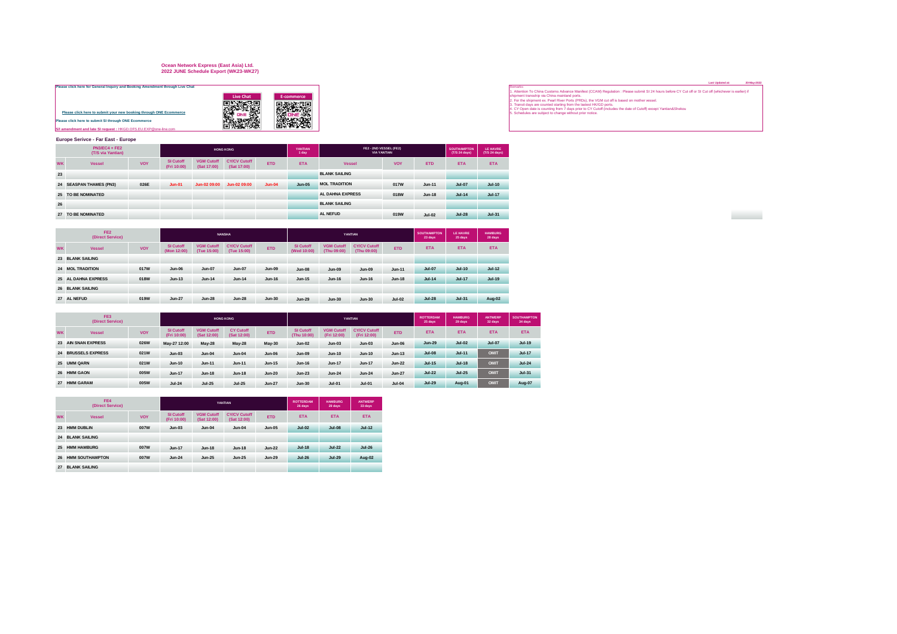# **Ocean Network Express (East Asia) Ltd. 2022 JUNE Schedule Export (WK23-WK27)**

| Please click here for General Inquiry and Booking Amendment through Live Chat |                  |   |
|-------------------------------------------------------------------------------|------------------|---|
|                                                                               | <b>Live Chat</b> |   |
|                                                                               |                  |   |
| Please click here to submit your new booking through ONE Ecommerce            |                  |   |
| Please click here to submit SI through ONE Ecommerce                          |                  | é |
| S/I amendment and late SI request: HKGD, OFS, EU, EXP @one-line.com           |                  |   |

|   | Live Chat | E-commerce |
|---|-----------|------------|
|   |           |            |
| e |           |            |
|   |           |            |
|   |           |            |
|   |           |            |

### **Europe Serivce - Far East - Europe**

|           | $PN3/EC4 + FE2$<br>(T/S via Yantian) |            |                          |                                  | <b>HONG KONG</b>                   |            | YANTIAN<br>1 day |                         | FE2 - 2ND VESSEL (FE2)<br><b>VIA YANTIAN</b> |            | <b>SOUTHAMPTON</b><br>(T/S 24 days) | LE HAVRE<br>(T/S 24 days) |
|-----------|--------------------------------------|------------|--------------------------|----------------------------------|------------------------------------|------------|------------------|-------------------------|----------------------------------------------|------------|-------------------------------------|---------------------------|
| <b>WK</b> | <b>Vessel</b>                        | <b>VOY</b> | SI Cutoff<br>(Fri 10:00) | <b>VGM Cutoff</b><br>(Sat 17:00) | <b>CY/CV Cutoff</b><br>(Sat 17:00) | <b>ETD</b> | <b>ETA</b>       | <b>Vessel</b>           | <b>VOY</b>                                   | <b>ETD</b> | <b>ETA</b>                          | <b>ETA</b>                |
| 23        |                                      |            |                          |                                  |                                    |            |                  | <b>BLANK SAILING</b>    |                                              |            |                                     |                           |
|           | 24 SEASPAN THAMES (PN3)              | 026E       | $Jun-01$                 | Jun-02 09:00                     | Jun-02 09:00                       | $Jun-04$   | <b>Jun-05</b>    | <b>MOL TRADITION</b>    | 017W                                         | $Jun-11$   | <b>Jul-07</b>                       | $Jul-10$                  |
|           | 25 TO BE NOMINATED                   |            |                          |                                  |                                    |            |                  | <b>AL DAHNA EXPRESS</b> | 018W                                         | $Jun-18$   | $Jul-14$                            | <b>Jul-17</b>             |
| 26        |                                      |            |                          |                                  |                                    |            |                  | <b>BLANK SAILING</b>    |                                              |            |                                     |                           |
| 27        | TO BE NOMINATED                      |            |                          |                                  |                                    |            |                  | <b>AL NEFUD</b>         | 019W                                         | $Jul-02$   | $Jul-28$                            | $Jul-31$                  |

|           | FE <sub>2</sub><br>(Direct Service) |      |                                 |                                  | <b>NANSHA</b>                      |            |                                 |                                  | YANTIAN                            | <b>SOUTHAMPTON</b><br>23 days | <b>LE HAVRE</b><br>25 days | <b>HAMBURG</b><br>28 days |            |
|-----------|-------------------------------------|------|---------------------------------|----------------------------------|------------------------------------|------------|---------------------------------|----------------------------------|------------------------------------|-------------------------------|----------------------------|---------------------------|------------|
| <b>WK</b> | <b>VOY</b><br><b>Vessel</b>         |      | <b>SI Cutoff</b><br>(Mon 12:00) | <b>VGM Cutoff</b><br>(Tue 15:00) | <b>CY/CV Cutoff</b><br>(Tue 15:00) | <b>ETD</b> | <b>SI Cutoff</b><br>(Wed 10:00) | <b>VGM Cutoff</b><br>(Thu 09:00) | <b>CY/CV Cutoff</b><br>(Thu 09:00) | <b>ETD</b>                    | <b>ETA</b>                 | <b>ETA</b>                | <b>ETA</b> |
|           | 23 BLANK SAILING                    |      |                                 |                                  |                                    |            |                                 |                                  |                                    |                               |                            |                           |            |
|           | 24 MOL TRADITION                    | 017W | $Jun-06$                        | <b>Jun-07</b>                    | <b>Jun-07</b>                      | $Jun-09$   | <b>Jun-08</b>                   | $Jun-09$                         | $Jun-09$                           | $Jun-11$                      | <b>Jul-07</b>              | $Jul-10$                  | $Jul-12$   |
|           | 25 AL DAHNA EXPRESS<br>018W         |      | $Jun-13$                        | <b>Jun-14</b>                    | $Jun-14$                           | $Jun-16$   | <b>Jun-15</b>                   | $Jun-16$                         | <b>Jun-16</b>                      | $Jun-18$                      | $Jul-14$                   | <b>Jul-17</b>             | $Jul-19$   |
|           | <b>26 BLANK SAILING</b>             |      |                                 |                                  |                                    |            |                                 |                                  |                                    |                               |                            |                           |            |
|           | 27 AL NEFUD                         | 019W | <b>Jun-27</b>                   | <b>Jun-28</b>                    | $Jun-28$                           | $Jun-30$   | <b>Jun-29</b>                   | $Jun-30$                         | $Jun-30$                           | $Jul-02$                      | <b>Jul-28</b>              | $Jul-31$                  | Aug-02     |

|           | FE3<br>(Direct Service) |            |                                 |                                  | <b>HONG KONG</b>                |               |                                 |                                  | <b>YANTIAN</b>                     |               | <b>ROTTERDAM</b><br>25 days | <b>HAMBURG</b><br>29 days | ANTWERP<br>32 days | <b>SOUTHAMPTON</b><br>34 days |
|-----------|-------------------------|------------|---------------------------------|----------------------------------|---------------------------------|---------------|---------------------------------|----------------------------------|------------------------------------|---------------|-----------------------------|---------------------------|--------------------|-------------------------------|
| <b>WK</b> | <b>Vessel</b>           | <b>VOY</b> | <b>SI Cutoff</b><br>(Fri 10:00) | <b>VGM Cutoff</b><br>(Sat 12:00) | <b>CY Cutoff</b><br>(Sat 12:00) | <b>ETD</b>    | <b>SI Cutoff</b><br>(Thu 10:00) | <b>VGM Cutoff</b><br>(Fri 12:00) | <b>CY/CV Cutoff</b><br>(Fri 12:00) | <b>ETD</b>    | <b>ETA</b>                  | <b>ETA</b>                | <b>ETA</b>         | <b>ETA</b>                    |
|           | 23 AIN SNAN EXPRESS     | 026W       | May-27 12:00                    | <b>May-28</b>                    | <b>May-28</b>                   | $May-30$      | <b>Jun-02</b>                   | $Jun-03$                         | $Jun-03$                           | <b>Jun-06</b> | $Jun-29$                    | $Jul-02$                  | <b>Jul-07</b>      | $Jul-19$                      |
|           | 24 BRUSSELS EXPRESS     | 021W       | $Jun-03$                        | $Jun-04$                         | $Jun-04$                        | $Jun-06$      | <b>Jun-09</b>                   | $Jun-10$                         | <b>Jun-10</b>                      | $Jun-13$      | <b>Jul-08</b>               | $Jul-11$                  | OMIT               | <b>Jul-17</b>                 |
|           | 25 UMM QARN             | 021W       | $Jun-10$                        | $Jun-11$                         | $Jun-11$                        | $Jun-15$      | $Jun-16$                        | <b>Jun-17</b>                    | Jun-17                             | $Jun-22$      | <b>Jul-15</b>               | $Jul-18$                  | OMIT               | $Jul-24$                      |
|           | 26 HMM GAON             | 005W       | $Jun-17$                        | $Jun-18$                         | $Jun-18$                        | $Jun-20$      | $Jun-23$                        | $Jun-24$                         | $Jun-24$                           | <b>Jun-27</b> | <b>Jul-22</b>               | $Jul-25$                  | OMIT               | $Jul-31$                      |
|           | 27 HMM GARAM            | 005W       | $Jul-24$                        | <b>Jul-25</b>                    | $Jul-25$                        | <b>Jun-27</b> | <b>Jun-30</b>                   | $Jul-01$                         | $Jul-01$                           | $Jul-04$      | <b>Jul-29</b>               | Aug-01                    | OMIT               | Aug-07                        |

|           | FF4<br>(Direct Service) |            |                          |                                  | YANTIAN                            | <b>ROTTERDAM</b><br>26 days | <b>HAMBURG</b><br>29 days | <b>ANTWERP</b><br>33 days |               |  |
|-----------|-------------------------|------------|--------------------------|----------------------------------|------------------------------------|-----------------------------|---------------------------|---------------------------|---------------|--|
| <b>WK</b> | <b>Vessel</b>           | <b>VOY</b> | SI Cutoff<br>(Fri 10:00) | <b>VGM Cutoff</b><br>(Sat 12:00) | <b>CY/CV Cutoff</b><br>(Sat 12:00) | <b>ETD</b>                  | <b>ETA</b>                | <b>ETA</b>                | <b>ETA</b>    |  |
| 23        | <b>HMM DUBLIN</b>       | 007W       | $Jun-03$                 | $Jun-04$                         | $Jun-04$                           | $Jun-05$                    | $Jul-02$                  | <b>Jul-08</b>             | $Jul-12$      |  |
| 24        | <b>BLANK SAILING</b>    |            |                          |                                  |                                    |                             |                           |                           |               |  |
| 25        | <b>HMM HAMBURG</b>      | 007W       | $Jun-17$                 | <b>Jun-18</b>                    | $Jun-18$                           | $Jun-22$                    | $Jul-18$                  | <b>Jul-22</b>             | <b>Jul-26</b> |  |
| 26        | <b>HMM SOUTHAMPTON</b>  | 007W       | $Jun-24$                 | <b>Jun-25</b>                    | $Jun-25$<br>$Jun-29$               |                             | <b>Jul-26</b>             | <b>Jul-29</b>             | Aug-02        |  |
| 27        | <b>BLANK SAILING</b>    |            |                          |                                  |                                    |                             |                           |                           |               |  |

[Pl](https://hk.one-line.com/ecommerce-applications)ease click here for General Inquiry and Booking Amendment through Live Chat<br>
and the Change of the Commerce of the Commerce of the Commerce of the Commerce of the Commerce of the Commerce of the Commerce of the Commerce